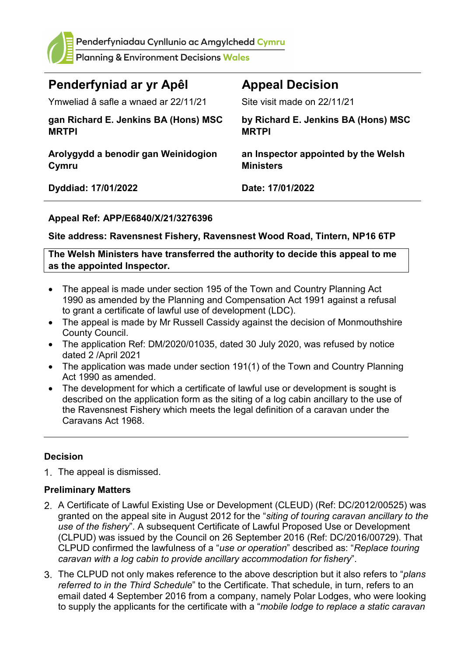

Penderfyniadau Cynllunio ac Amgylchedd Cymru

**Planning & Environment Decisions Wales** 

| Penderfyniad ar yr Apêl                              | <b>Appeal Decision</b>                                  |
|------------------------------------------------------|---------------------------------------------------------|
| Ymweliad â safle a wnaed ar 22/11/21                 | Site visit made on 22/11/21                             |
| gan Richard E. Jenkins BA (Hons) MSC<br><b>MRTPI</b> | by Richard E. Jenkins BA (Hons) MSC<br><b>MRTPI</b>     |
| Arolygydd a benodir gan Weinidogion<br>Cymru         | an Inspector appointed by the Welsh<br><b>Ministers</b> |
| Dyddiad: 17/01/2022                                  | Date: 17/01/2022                                        |

### **Appeal Ref: APP/E6840/X/21/3276396**

#### **Site address: Ravensnest Fishery, Ravensnest Wood Road, Tintern, NP16 6TP**

**The Welsh Ministers have transferred the authority to decide this appeal to me as the appointed Inspector.**

- The appeal is made under section 195 of the Town and Country Planning Act 1990 as amended by the Planning and Compensation Act 1991 against a refusal to grant a certificate of lawful use of development (LDC).
- The appeal is made by Mr Russell Cassidy against the decision of Monmouthshire County Council.
- The application Ref: DM/2020/01035, dated 30 July 2020, was refused by notice dated 2 /April 2021
- The application was made under section 191(1) of the Town and Country Planning Act 1990 as amended.
- The development for which a certificate of lawful use or development is sought is described on the application form as the siting of a log cabin ancillary to the use of the Ravensnest Fishery which meets the legal definition of a caravan under the Caravans Act 1968.

#### **Decision**

1. The appeal is dismissed.

#### **Preliminary Matters**

- 2. A Certificate of Lawful Existing Use or Development (CLEUD) (Ref: DC/2012/00525) was granted on the appeal site in August 2012 for the "*siting of touring caravan ancillary to the use of the fishery*". A subsequent Certificate of Lawful Proposed Use or Development (CLPUD) was issued by the Council on 26 September 2016 (Ref: DC/2016/00729). That CLPUD confirmed the lawfulness of a "*use or operation*" described as: "*Replace touring caravan with a log cabin to provide ancillary accommodation for fishery*".
- The CLPUD not only makes reference to the above description but it also refers to "*plans referred to in the Third Schedule*" to the Certificate. That schedule, in turn, refers to an email dated 4 September 2016 from a company, namely Polar Lodges, who were looking to supply the applicants for the certificate with a "*mobile lodge to replace a static caravan*